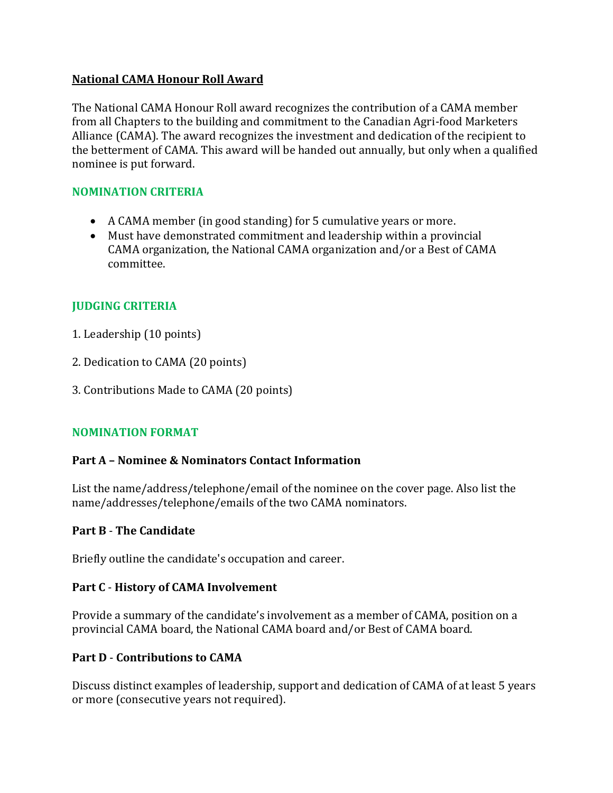### **National CAMA Honour Roll Award**

The National CAMA Honour Roll award recognizes the contribution of a CAMA member from all Chapters to the building and commitment to the Canadian Agri-food Marketers Alliance (CAMA). The award recognizes the investment and dedication of the recipient to the betterment of CAMA. This award will be handed out annually, but only when a qualified nominee is put forward.

# **NOMINATION CRITERIA**

- A CAMA member (in good standing) for 5 cumulative years or more.
- Must have demonstrated commitment and leadership within a provincial CAMA organization, the National CAMA organization and/or a Best of CAMA committee.

# **JUDGING CRITERIA**

- 1. Leadership (10 points)
- 2. Dedication to CAMA (20 points)
- 3. Contributions Made to CAMA (20 points)

### **NOMINATION FORMAT**

### **Part A – Nominee & Nominators Contact Information**

List the name/address/telephone/email of the nominee on the cover page. Also list the name/addresses/telephone/emails of the two CAMA nominators.

### **Part B** - **The Candidate**

Briefly outline the candidate's occupation and career.

### **Part C** - **History of CAMA Involvement**

Provide a summary of the candidate's involvement as a member of CAMA, position on a provincial CAMA board, the National CAMA board and/or Best of CAMA board.

# **Part D** - **Contributions to CAMA**

Discuss distinct examples of leadership, support and dedication of CAMA of at least 5 years or more (consecutive years not required).